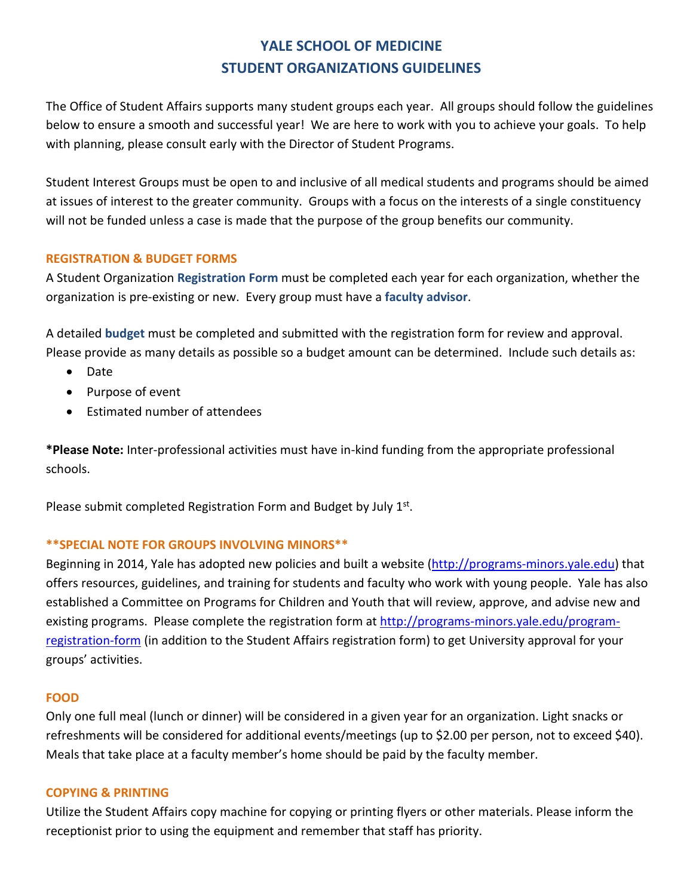# **YALE SCHOOL OF MEDICINE STUDENT ORGANIZATIONS GUIDELINES**

The Office of Student Affairs supports many student groups each year. All groups should follow the guidelines below to ensure a smooth and successful year! We are here to work with you to achieve your goals. To help with planning, please consult early with the Director of Student Programs.

Student Interest Groups must be open to and inclusive of all medical students and programs should be aimed at issues of interest to the greater community. Groups with a focus on the interests of a single constituency will not be funded unless a case is made that the purpose of the group benefits our community.

# **REGISTRATION & BUDGET FORMS**

A Student Organization **Registration Form** must be completed each year for each organization, whether the organization is pre-existing or new. Every group must have a **faculty advisor**.

A detailed **budget** must be completed and submitted with the registration form for review and approval. Please provide as many details as possible so a budget amount can be determined. Include such details as:

- Date
- Purpose of event
- Estimated number of attendees

**\*Please Note:** Inter-professional activities must have in-kind funding from the appropriate professional schools.

Please submit completed Registration Form and Budget by July 1st.

# **\*\*SPECIAL NOTE FOR GROUPS INVOLVING MINORS\*\***

Beginning in 2014, Yale has adopted new policies and built a website (http://programs-minors.yale.edu) that offers resources, guidelines, and training for students and faculty who work with young people. Yale has also established a Committee on Programs for Children and Youth that will review, approve, and advise new and existing programs. Please complete the registration form at http://programs-minors.yale.edu/programregistration-form (in addition to the Student Affairs registration form) to get University approval for your groups' activities.

# **FOOD**

Only one full meal (lunch or dinner) will be considered in a given year for an organization. Light snacks or refreshments will be considered for additional events/meetings (up to \$2.00 per person, not to exceed \$40). Meals that take place at a faculty member's home should be paid by the faculty member.

# **COPYING & PRINTING**

Utilize the Student Affairs copy machine for copying or printing flyers or other materials. Please inform the receptionist prior to using the equipment and remember that staff has priority.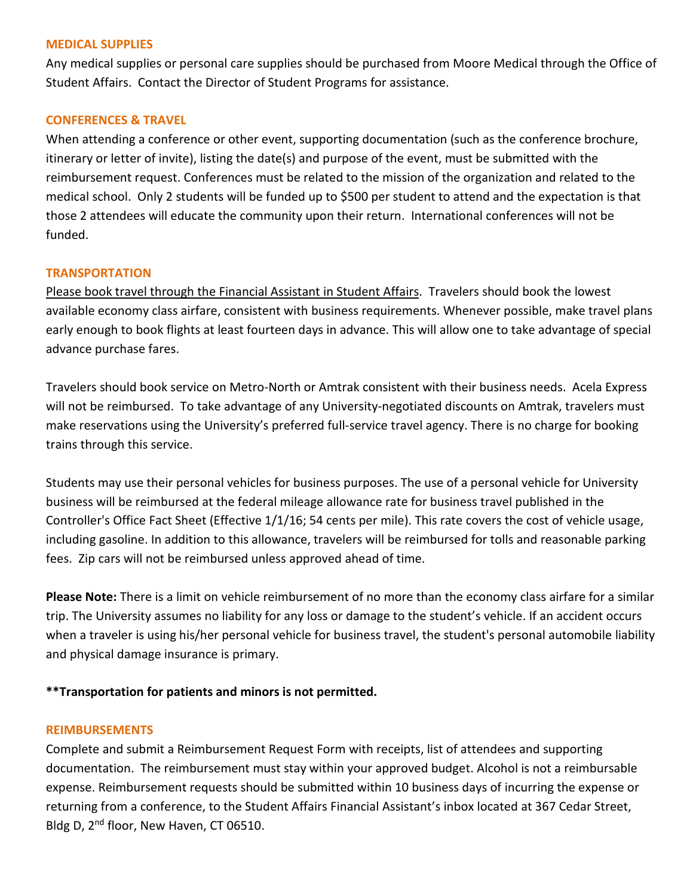# **MEDICAL SUPPLIES**

Any medical supplies or personal care supplies should be purchased from Moore Medical through the Office of Student Affairs. Contact the Director of Student Programs for assistance.

# **CONFERENCES & TRAVEL**

When attending a conference or other event, supporting documentation (such as the conference brochure, itinerary or letter of invite), listing the date(s) and purpose of the event, must be submitted with the reimbursement request. Conferences must be related to the mission of the organization and related to the medical school. Only 2 students will be funded up to \$500 per student to attend and the expectation is that those 2 attendees will educate the community upon their return. International conferences will not be funded.

# **TRANSPORTATION**

Please book travel through the Financial Assistant in Student Affairs. Travelers should book the lowest available economy class airfare, consistent with business requirements. Whenever possible, make travel plans early enough to book flights at least fourteen days in advance. This will allow one to take advantage of special advance purchase fares.

Travelers should book service on Metro-North or Amtrak consistent with their business needs. Acela Express will not be reimbursed. To take advantage of any University-negotiated discounts on Amtrak, travelers must make reservations using the University's preferred full-service travel agency. There is no charge for booking trains through this service.

Students may use their personal vehicles for business purposes. The use of a personal vehicle for University business will be reimbursed at the federal mileage allowance rate for business travel published in the Controller's Office Fact Sheet (Effective 1/1/16; 54 cents per mile). This rate covers the cost of vehicle usage, including gasoline. In addition to this allowance, travelers will be reimbursed for tolls and reasonable parking fees. Zip cars will not be reimbursed unless approved ahead of time.

**Please Note:** There is a limit on vehicle reimbursement of no more than the economy class airfare for a similar trip. The University assumes no liability for any loss or damage to the student's vehicle. If an accident occurs when a traveler is using his/her personal vehicle for business travel, the student's personal automobile liability and physical damage insurance is primary.

# **\*\*Transportation for patients and minors is not permitted.**

# **REIMBURSEMENTS**

Complete and submit a Reimbursement Request Form with receipts, list of attendees and supporting documentation. The reimbursement must stay within your approved budget. Alcohol is not a reimbursable expense. Reimbursement requests should be submitted within 10 business days of incurring the expense or returning from a conference, to the Student Affairs Financial Assistant's inbox located at 367 Cedar Street, Bldg D, 2<sup>nd</sup> floor, New Haven, CT 06510.